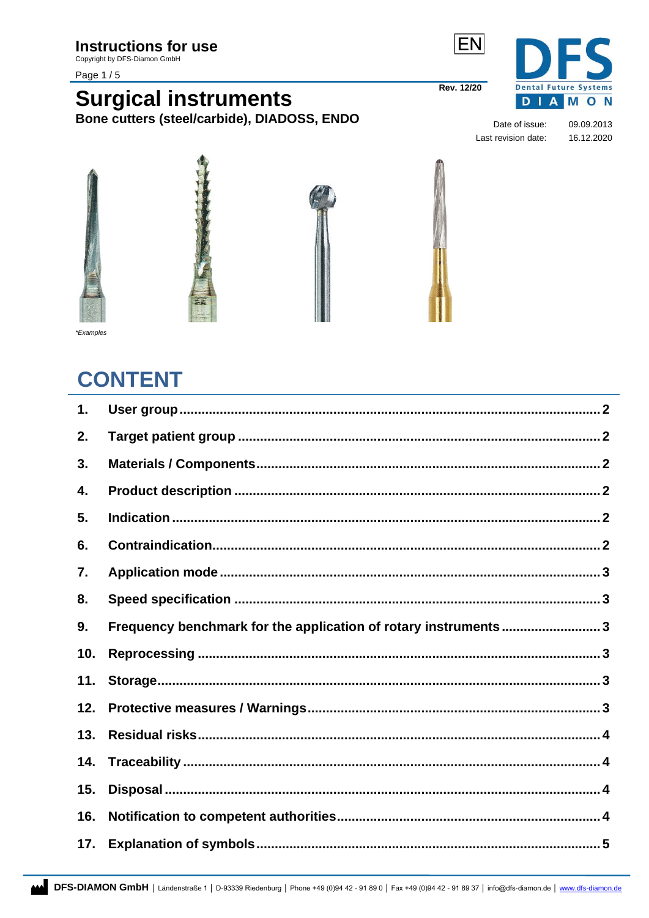Copyright by DFS-Diamon GmbH

#### Page 1/5





Date of issue: Last revision date:

**EN** 

**Rev. 12/20** 

09.09.2013 16.12.2020



#### \*Examples

# **CONTENT**

| Frequency benchmark for the application of rotary instruments3 |
|----------------------------------------------------------------|
|                                                                |
|                                                                |
|                                                                |
|                                                                |
|                                                                |
|                                                                |
|                                                                |
|                                                                |
|                                                                |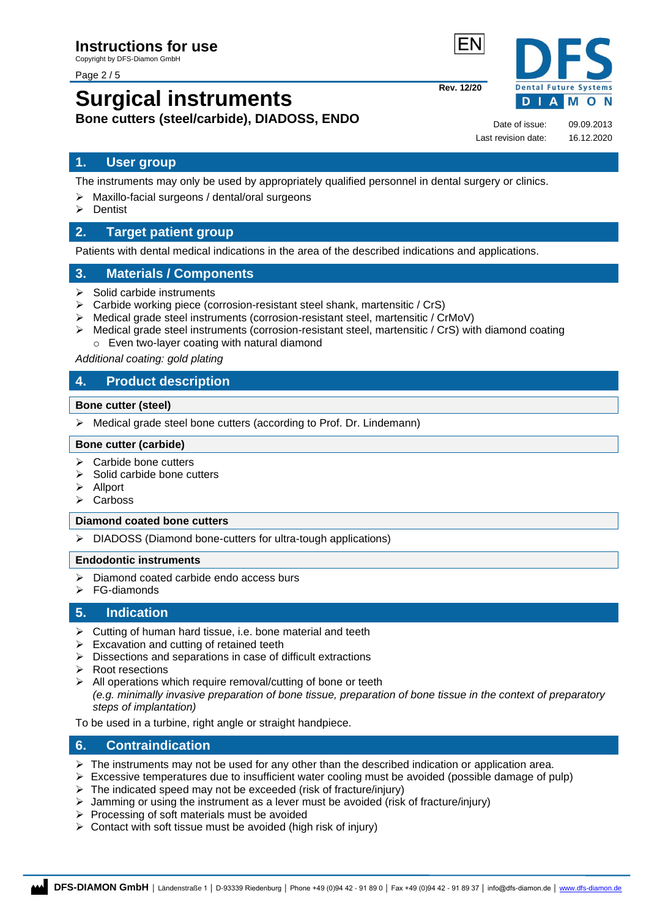Page 2 / 5

# **Surgical instruments Bone cutters (steel/carbide), DIADOSS, ENDO**

**Rev. 12/20**

**Dental Future Systems DIAMON** 

Date of issue: 09.09.2013 Last revision date: 16.12.2020

# <span id="page-1-0"></span>**1. User group**

The instruments may only be used by appropriately qualified personnel in dental surgery or clinics.

- ➢ Maxillo-facial surgeons / dental/oral surgeons
- ➢ Dentist

# <span id="page-1-1"></span>**2. Target patient group**

Patients with dental medical indications in the area of the described indications and applications.

# <span id="page-1-2"></span>**3. Materials / Components**

- ➢ Solid carbide instruments
- ➢ Carbide working piece (corrosion-resistant steel shank, martensitic / CrS)
- ➢ Medical grade steel instruments (corrosion-resistant steel, martensitic / CrMoV)
- $\triangleright$  Medical grade steel instruments (corrosion-resistant steel, martensitic / CrS) with diamond coating o Even two-layer coating with natural diamond

#### *Additional coating: gold plating*

# <span id="page-1-3"></span>**4. Product description**

#### **Bone cutter (steel)**

➢ Medical grade steel bone cutters (according to Prof. Dr. Lindemann)

#### **Bone cutter (carbide)**

- ➢ Carbide bone cutters
- $\triangleright$  Solid carbide bone cutters
- ➢ Allport
- ➢ Carboss

#### **Diamond coated bone cutters**

➢ DIADOSS (Diamond bone-cutters for ultra-tough applications)

#### **Endodontic instruments**

- ➢ Diamond coated carbide endo access burs
- ➢ FG-diamonds

#### <span id="page-1-4"></span>**5. Indication**

- $\triangleright$  Cutting of human hard tissue, i.e. bone material and teeth
- $\triangleright$  Excavation and cutting of retained teeth
- ➢ Dissections and separations in case of difficult extractions
- ➢ Root resections
- $\triangleright$  All operations which require removal/cutting of bone or teeth
	- *(e.g. minimally invasive preparation of bone tissue, preparation of bone tissue in the context of preparatory steps of implantation)*

To be used in a turbine, right angle or straight handpiece.

### <span id="page-1-5"></span>**6. Contraindication**

- The instruments may not be used for any other than the described indication or application area.
- ➢ Excessive temperatures due to insufficient water cooling must be avoided (possible damage of pulp)
- ➢ The indicated speed may not be exceeded (risk of fracture/injury)
- $\triangleright$  Jamming or using the instrument as a lever must be avoided (risk of fracture/injury)
- $\triangleright$  Processing of soft materials must be avoided
- <span id="page-1-6"></span>➢ Contact with soft tissue must be avoided (high risk of injury)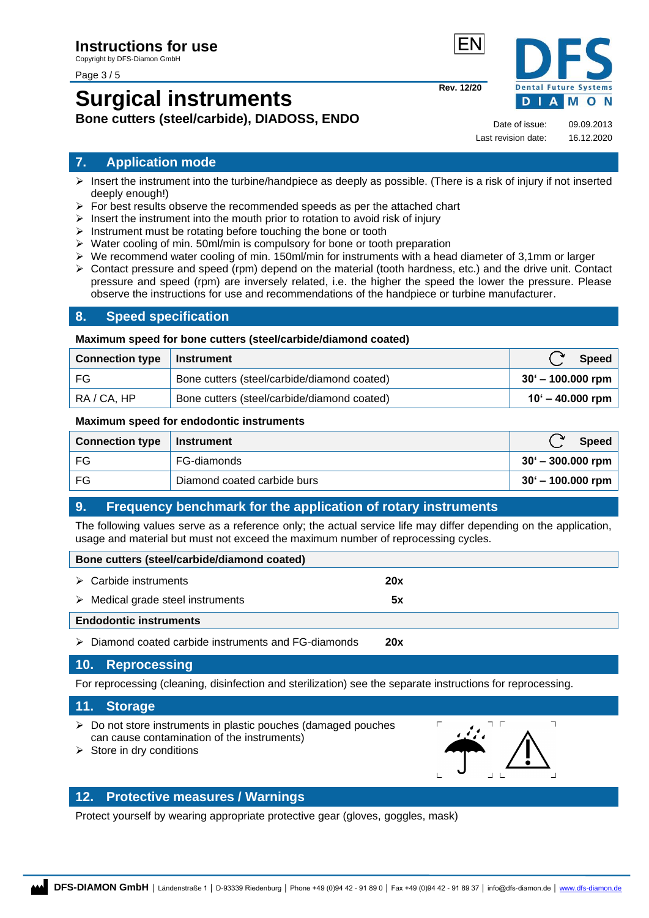#### Page 3 / 5

# **Surgical instruments Bone cutters (steel/carbide), DIADOSS, ENDO**



Date of issue: 09.09.2013

**Rev. 12/20**

Last revision date: 16.12.2020

### **7. Application mode**

- $\triangleright$  Insert the instrument into the turbine/handpiece as deeply as possible. (There is a risk of injury if not inserted deeply enough!)
- $\triangleright$  For best results observe the recommended speeds as per the attached chart
- $\triangleright$  Insert the instrument into the mouth prior to rotation to avoid risk of injury
- ➢ Instrument must be rotating before touching the bone or tooth
- ➢ Water cooling of min. 50ml/min is compulsory for bone or tooth preparation
- $\triangleright$  We recommend water cooling of min. 150ml/min for instruments with a head diameter of 3,1mm or larger
- ➢ Contact pressure and speed (rpm) depend on the material (tooth hardness, etc.) and the drive unit. Contact pressure and speed (rpm) are inversely related, i.e. the higher the speed the lower the pressure. Please observe the instructions for use and recommendations of the handpiece or turbine manufacturer.

### <span id="page-2-0"></span>**8. Speed specification**

#### **Maximum speed for bone cutters (steel/carbide/diamond coated)**

| Connection type   Instrument |                                             | <b>Speed</b>              |
|------------------------------|---------------------------------------------|---------------------------|
| FG                           | Bone cutters (steel/carbide/diamond coated) | $30' - 100.000$ rpm       |
| RA / CA, HP                  | Bone cutters (steel/carbide/diamond coated) | $10^{\circ}$ – 40.000 rpm |

#### **Maximum speed for endodontic instruments**

| Connection type   Instrument |                             | Speed               |
|------------------------------|-----------------------------|---------------------|
| FG                           | FG-diamonds                 | $30' - 300.000$ rpm |
| FG                           | Diamond coated carbide burs | $30' - 100.000$ rpm |

# <span id="page-2-1"></span>**9. Frequency benchmark for the application of rotary instruments**

The following values serve as a reference only; the actual service life may differ depending on the application, usage and material but must not exceed the maximum number of reprocessing cycles.

| Bone cutters (steel/carbide/diamond coated)             |     |  |  |
|---------------------------------------------------------|-----|--|--|
| $\triangleright$ Carbide instruments                    | 20x |  |  |
| Medical grade steel instruments<br>➤                    | 5x  |  |  |
| <b>Endodontic instruments</b>                           |     |  |  |
| Diamond coated carbide instruments and FG-diamonds<br>➤ | 20x |  |  |

### <span id="page-2-2"></span>**10. Reprocessing**

For reprocessing (cleaning, disinfection and sterilization) see the separate instructions for reprocessing.

#### <span id="page-2-3"></span>**11. Storage**

- ➢ Do not store instruments in plastic pouches (damaged pouches can cause contamination of the instruments)
- $\triangleright$  Store in dry conditions



# <span id="page-2-4"></span>**12. Protective measures / Warnings**

Protect yourself by wearing appropriate protective gear (gloves, goggles, mask)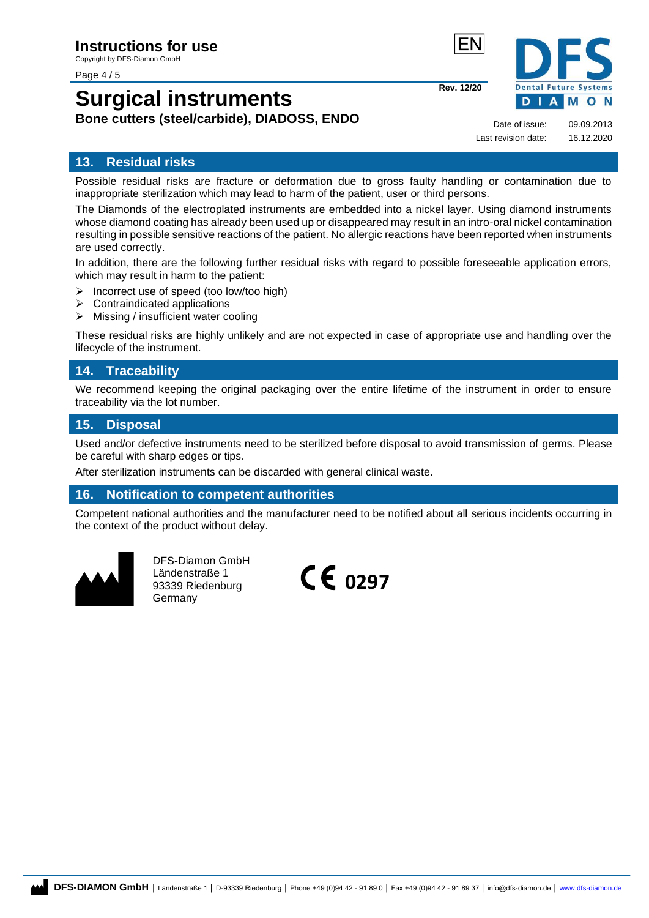#### Page 4 / 5

# **Surgical instruments Bone cutters (steel/carbide), DIADOSS, ENDO**



Last revision date: 16.12.2020

**Rev. 12/20**

Date of issue: 09.09.2013

# <span id="page-3-0"></span>**13. Residual risks**

Possible residual risks are fracture or deformation due to gross faulty handling or contamination due to inappropriate sterilization which may lead to harm of the patient, user or third persons.

The Diamonds of the electroplated instruments are embedded into a nickel layer. Using diamond instruments whose diamond coating has already been used up or disappeared may result in an intro-oral nickel contamination resulting in possible sensitive reactions of the patient. No allergic reactions have been reported when instruments are used correctly.

In addition, there are the following further residual risks with regard to possible foreseeable application errors, which may result in harm to the patient:

- ➢ Incorrect use of speed (too low/too high)
- ➢ Contraindicated applications
- ➢ Missing / insufficient water cooling

These residual risks are highly unlikely and are not expected in case of appropriate use and handling over the lifecycle of the instrument.

## <span id="page-3-1"></span>**14. Traceability**

We recommend keeping the original packaging over the entire lifetime of the instrument in order to ensure traceability via the lot number.

### <span id="page-3-2"></span>**15. Disposal**

Used and/or defective instruments need to be sterilized before disposal to avoid transmission of germs. Please be careful with sharp edges or tips.

After sterilization instruments can be discarded with general clinical waste.

#### <span id="page-3-3"></span>**16. Notification to competent authorities**

Competent national authorities and the manufacturer need to be notified about all serious incidents occurring in the context of the product without delay.



DFS-Diamon GmbH Ländenstraße 1 93339 Riedenburg Germany